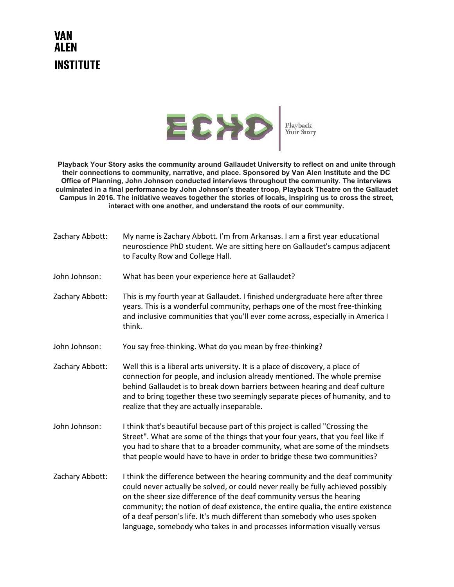## **VAN ALEN INSTITUTE**



**Playback Your Story asks the community around Gallaudet University to reflect on and unite through their connections to community, narrative, and place. Sponsored by Van Alen Institute and the DC Office of Planning, John Johnson conducted interviews throughout the community. The interviews culminated in a final performance by John Johnson's theater troop, Playback Theatre on the Gallaudet Campus in 2016. The initiative weaves together the stories of locals, inspiring us to cross the street, interact with one another, and understand the roots of our community.**

| Zachary Abbott: | My name is Zachary Abbott. I'm from Arkansas. I am a first year educational<br>neuroscience PhD student. We are sitting here on Gallaudet's campus adjacent<br>to Faculty Row and College Hall.                                                                                                                                                                                                                                                                                         |
|-----------------|-----------------------------------------------------------------------------------------------------------------------------------------------------------------------------------------------------------------------------------------------------------------------------------------------------------------------------------------------------------------------------------------------------------------------------------------------------------------------------------------|
| John Johnson:   | What has been your experience here at Gallaudet?                                                                                                                                                                                                                                                                                                                                                                                                                                        |
| Zachary Abbott: | This is my fourth year at Gallaudet. I finished undergraduate here after three<br>years. This is a wonderful community, perhaps one of the most free-thinking<br>and inclusive communities that you'll ever come across, especially in America I<br>think.                                                                                                                                                                                                                              |
| John Johnson:   | You say free-thinking. What do you mean by free-thinking?                                                                                                                                                                                                                                                                                                                                                                                                                               |
| Zachary Abbott: | Well this is a liberal arts university. It is a place of discovery, a place of<br>connection for people, and inclusion already mentioned. The whole premise<br>behind Gallaudet is to break down barriers between hearing and deaf culture<br>and to bring together these two seemingly separate pieces of humanity, and to<br>realize that they are actually inseparable.                                                                                                              |
| John Johnson:   | I think that's beautiful because part of this project is called "Crossing the<br>Street". What are some of the things that your four years, that you feel like if<br>you had to share that to a broader community, what are some of the mindsets<br>that people would have to have in order to bridge these two communities?                                                                                                                                                            |
| Zachary Abbott: | I think the difference between the hearing community and the deaf community<br>could never actually be solved, or could never really be fully achieved possibly<br>on the sheer size difference of the deaf community versus the hearing<br>community; the notion of deaf existence, the entire qualia, the entire existence<br>of a deaf person's life. It's much different than somebody who uses spoken<br>language, somebody who takes in and processes information visually versus |